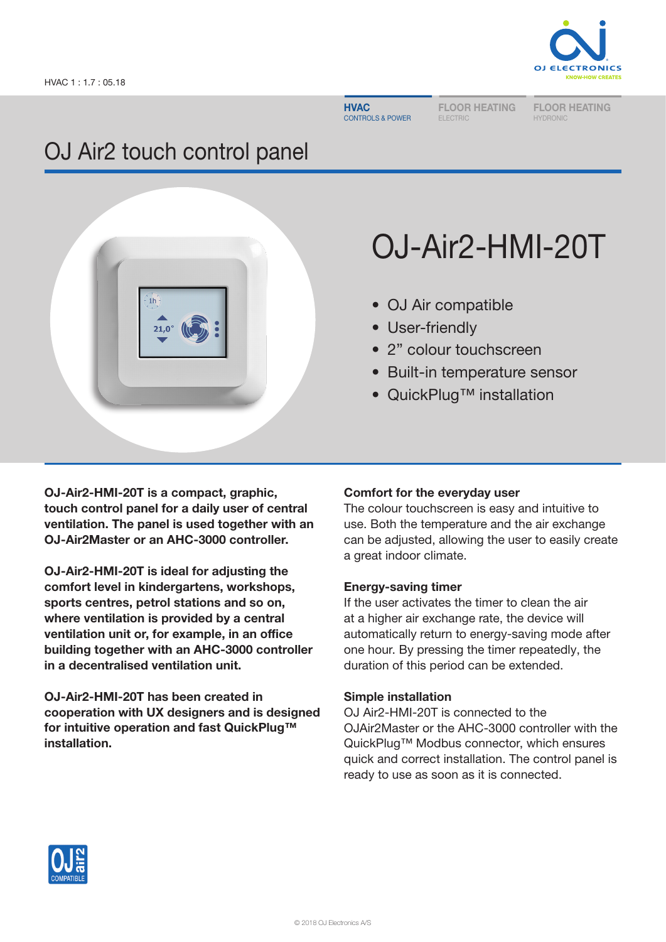**HVAC** CONTROLS & POWER

FLOOR HEATING ELECTRIC

FLOOR HEATING HYDRONIC

# OJ Air2 touch control panel



# OJ-Air2-HMI-20T

- OJ Air compatible
- User-friendly
- 2" colour touchscreen
- Built-in temperature sensor
- QuickPlug™ installation

OJ-Air2-HMI-20T is a compact, graphic, touch control panel for a daily user of central ventilation. The panel is used together with an OJ-Air2Master or an AHC-3000 controller.

OJ-Air2-HMI-20T is ideal for adjusting the comfort level in kindergartens, workshops, sports centres, petrol stations and so on, where ventilation is provided by a central ventilation unit or, for example, in an office building together with an AHC-3000 controller in a decentralised ventilation unit.

OJ-Air2-HMI-20T has been created in cooperation with UX designers and is designed for intuitive operation and fast QuickPlug™ installation.

# Comfort for the everyday user

The colour touchscreen is easy and intuitive to use. Both the temperature and the air exchange can be adjusted, allowing the user to easily create a great indoor climate.

# Energy-saving timer

If the user activates the timer to clean the air at a higher air exchange rate, the device will automatically return to energy-saving mode after one hour. By pressing the timer repeatedly, the duration of this period can be extended.

# Simple installation

OJ Air2-HMI-20T is connected to the OJAir2Master or the AHC-3000 controller with the QuickPlug™ Modbus connector, which ensures quick and correct installation. The control panel is ready to use as soon as it is connected.